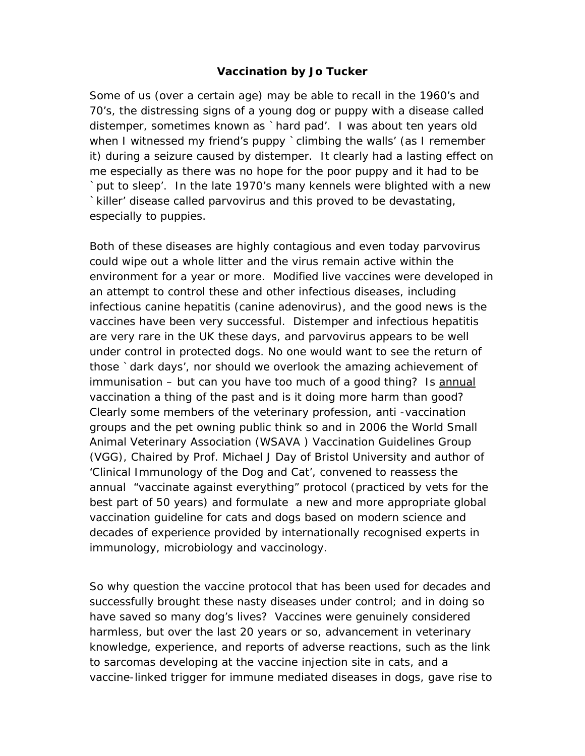#### **Vaccination by Jo Tucker**

Some of us (over a certain age) may be able to recall in the 1960's and 70's, the distressing signs of a young dog or puppy with a disease called distemper, sometimes known as `hard pad'. I was about ten years old when I witnessed my friend's puppy `climbing the walls' (as I remember it) during a seizure caused by distemper. It clearly had a lasting effect on me especially as there was no hope for the poor puppy and it had to be `put to sleep'. In the late 1970's many kennels were blighted with a new `killer' disease called parvovirus and this proved to be devastating, especially to puppies.

Both of these diseases are highly contagious and even today parvovirus could wipe out a whole litter and the virus remain active within the environment for a year or more. Modified live vaccines were developed in an attempt to control these and other infectious diseases, including infectious canine hepatitis (canine adenovirus), and the good news is the vaccines have been very successful. Distemper and infectious hepatitis are very rare in the UK these days, and parvovirus appears to be well under control in protected dogs. No one would want to see the return of those *`dark days'*, nor should we overlook the amazing achievement of immunisation – but can you have too much of a good thing? Is annual vaccination a thing of the past and is it doing more harm than good? Clearly some members of the veterinary profession, anti -vaccination groups and the pet owning public think so and in 2006 the World Small Animal Veterinary Association (WSAVA ) Vaccination Guidelines Group (VGG), Chaired by Prof. Michael J Day of Bristol University and author of '*Clinical Immunology of the Dog and Cat'*, convened to reassess the annual "vaccinate against everything" protocol (practiced by vets for the best part of 50 years) and formulate a new and more appropriate global vaccination guideline for cats and dogs based on modern science and decades of experience provided by internationally recognised experts in immunology, microbiology and vaccinology.

So why question the vaccine protocol that has been used for decades and successfully brought these nasty diseases under control; and in doing so have saved so many dog's lives? Vaccines were genuinely considered harmless, but over the last 20 years or so, advancement in veterinary knowledge, experience, and reports of adverse reactions, such as the link to sarcomas developing at the vaccine injection site in cats, and a vaccine-linked trigger for immune mediated diseases in dogs, gave rise to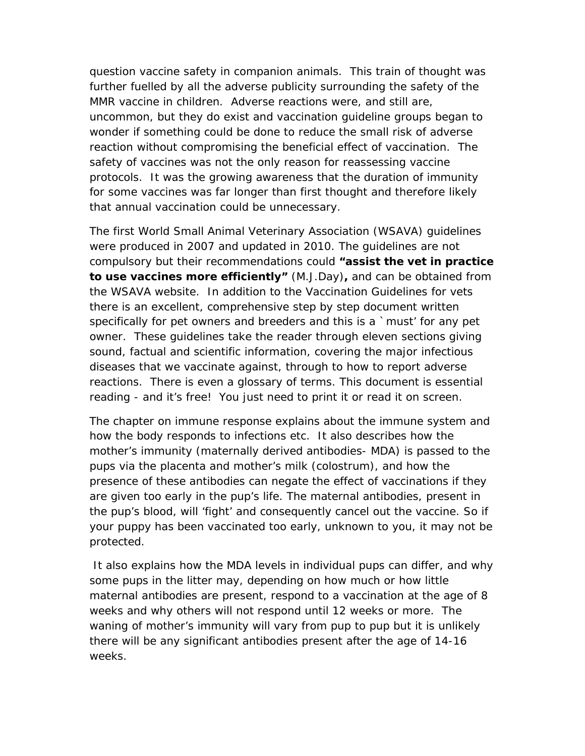question vaccine safety in companion animals. This train of thought was further fuelled by all the adverse publicity surrounding the safety of the MMR vaccine in children. Adverse reactions were, and still are, uncommon, but they do exist and vaccination guideline groups began to wonder if something could be done to reduce the small risk of adverse reaction without compromising the beneficial effect of vaccination. The safety of vaccines was not the only reason for reassessing vaccine protocols. It was the growing awareness that the duration of immunity for some vaccines was far longer than first thought and therefore likely that annual vaccination could be unnecessary.

The first World Small Animal Veterinary Association (WSAVA) guidelines were produced in 2007 and updated in 2010. The guidelines are not compulsory but their recommendations could *"assist the vet in practice to use vaccines more efficiently" (M.J.Day),* and can be obtained from the WSAVA website. In addition to the Vaccination Guidelines for vets there is an excellent, comprehensive step by step document written specifically for pet owners and breeders and this is a `must' for any pet owner. These guidelines take the reader through eleven sections giving sound, factual and scientific information, covering the major infectious diseases that we vaccinate against, through to how to report adverse reactions. There is even a glossary of terms. This document is essential reading - and it's free! You just need to print it or read it on screen.

The chapter on immune response explains about the immune system and how the body responds to infections etc. It also describes how the mother's immunity (maternally derived antibodies- MDA) is passed to the pups via the placenta and mother's milk (colostrum), and how the presence of these antibodies can negate the effect of vaccinations if they are given too early in the pup's life. The maternal antibodies, present in the pup's blood, will 'fight' and consequently cancel out the vaccine. So if your puppy has been vaccinated too early, unknown to you, it may not be protected.

 It also explains how the MDA levels in individual pups can differ, and why some pups in the litter may, depending on how much or how little maternal antibodies are present, respond to a vaccination at the age of 8 weeks and why others will not respond until 12 weeks or more. The waning of mother's immunity will vary from pup to pup but it is unlikely there will be any significant antibodies present after the age of 14-16 weeks.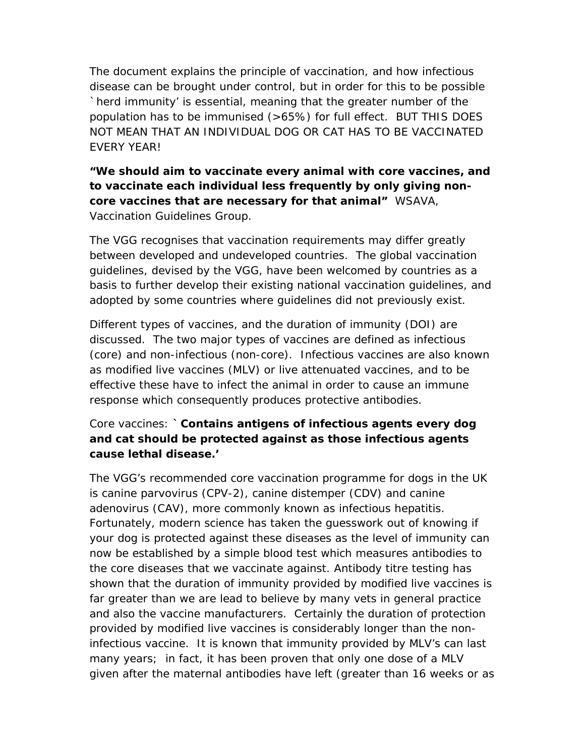The document explains the principle of vaccination, and how infectious disease can be brought under control, but in order for this to be possible *`herd immunity'* is essential, meaning that the greater number of the population has to be immunised (>65%) for full effect. BUT THIS DOES NOT MEAN THAT AN INDIVIDUAL DOG OR CAT HAS TO BE VACCINATED EVERY YEAR!

*"We should aim to vaccinate every animal with core vaccines, and to vaccinate each individual less frequently by only giving noncore vaccines that are necessary for that animal" WSAVA, Vaccination Guidelines Group.* 

The VGG recognises that vaccination requirements may differ greatly between developed and undeveloped countries. The global vaccination guidelines, devised by the VGG, have been welcomed by countries as a basis to further develop their existing national vaccination guidelines, and adopted by some countries where guidelines did not previously exist.

Different types of vaccines, and the duration of immunity (DOI) are discussed. The two major types of vaccines are defined as infectious (core) and non-infectious (non-core). Infectious vaccines are also known as modified live vaccines (MLV) or live attenuated vaccines, and to be effective these have to infect the animal in order to cause an immune response which consequently produces protective antibodies.

## Core vaccines: *`Contains antigens of infectious agents every dog and cat should be protected against as those infectious agents cause lethal disease.'*

The VGG's recommended core vaccination programme for dogs in the UK is canine parvovirus (CPV-2), canine distemper (CDV) and canine adenovirus (CAV), more commonly known as infectious hepatitis. Fortunately, modern science has taken the guesswork out of knowing if your dog is protected against these diseases as the level of immunity can now be established by a simple blood test which measures antibodies to the core diseases that we vaccinate against. Antibody titre testing has shown that the duration of immunity provided by modified live vaccines is far greater than we are lead to believe by many vets in general practice and also the vaccine manufacturers. Certainly the duration of protection provided by modified live vaccines is considerably longer than the noninfectious vaccine. It is known that immunity provided by MLV's can last many years; in fact, it has been proven that only one dose of a MLV given after the maternal antibodies have left (greater than 16 weeks or as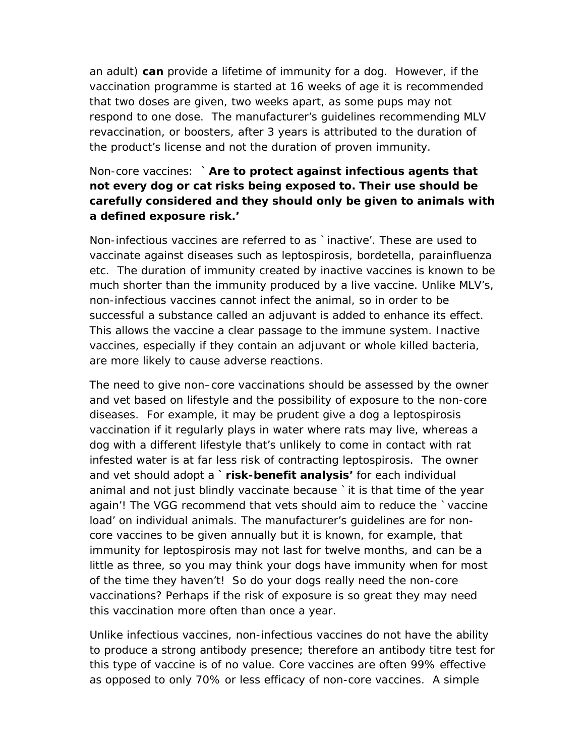an adult) *can* provide a lifetime of immunity for a dog. However, if the vaccination programme is started at 16 weeks of age it is recommended that two doses are given, two weeks apart, as some pups may not respond to one dose. The manufacturer's guidelines recommending MLV revaccination, or boosters, after 3 years is attributed to the duration of the product's license and not the duration of proven immunity.

## Non-core vaccines: *`Are to protect against infectious agents that not every dog or cat risks being exposed to. Their use should be carefully considered and they should only be given to animals with a defined exposure risk.'*

Non-infectious vaccines are referred to as `inactive'. These are used to vaccinate against diseases such as leptospirosis, bordetella, parainfluenza etc. The duration of immunity created by inactive vaccines is known to be much shorter than the immunity produced by a live vaccine. Unlike MLV's, non-infectious vaccines cannot infect the animal, so in order to be successful a substance called an adjuvant is added to enhance its effect. This allows the vaccine a clear passage to the immune system. Inactive vaccines, especially if they contain an adjuvant or whole killed bacteria, are more likely to cause adverse reactions.

The need to give non–core vaccinations should be assessed by the owner and vet based on lifestyle and the possibility of exposure to the non-core diseases. For example, it may be prudent give a dog a leptospirosis vaccination if it regularly plays in water where rats may live, whereas a dog with a different lifestyle that's unlikely to come in contact with rat infested water is at far less risk of contracting leptospirosis. The owner and vet should adopt a *`risk-benefit analysis'* for each individual animal and not just blindly vaccinate because `it is that time of the year again'! The VGG recommend that vets should aim to reduce the `vaccine load' on individual animals. The manufacturer's guidelines are for noncore vaccines to be given annually but it is known, for example, that immunity for leptospirosis may not last for twelve months, and can be a little as three, so you may think your dogs have immunity when for most of the time they haven't! So do your dogs really need the non-core vaccinations? Perhaps if the risk of exposure is so great they may need this vaccination more often than once a year.

Unlike infectious vaccines, non-infectious vaccines do not have the ability to produce a strong antibody presence; therefore an antibody titre test for this type of vaccine is of no value. Core vaccines are often 99% effective as opposed to only 70% or less efficacy of non-core vaccines. A simple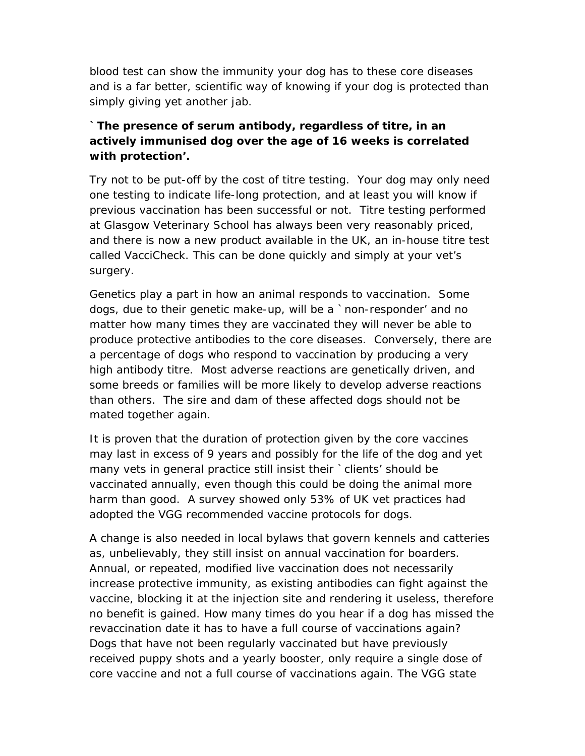blood test can show the immunity your dog has to these core diseases and is a far better, scientific way of knowing if your dog is protected than simply giving yet another jab.

# *`The presence of serum antibody, regardless of titre, in an actively immunised dog over the age of 16 weeks is correlated with protection'.*

Try not to be put-off by the cost of titre testing. Your dog may only need one testing to indicate life-long protection, and at least you will know if previous vaccination has been successful or not. Titre testing performed at Glasgow Veterinary School has always been very reasonably priced, and there is now a new product available in the UK, an in-house titre test called VacciCheck. This can be done quickly and simply at your vet's surgery.

Genetics play a part in how an animal responds to vaccination. Some dogs, due to their genetic make-up, will be a `non-responder' and no matter how many times they are vaccinated they will never be able to produce protective antibodies to the core diseases. Conversely, there are a percentage of dogs who respond to vaccination by producing a very high antibody titre. Most adverse reactions are genetically driven, and some breeds or families will be more likely to develop adverse reactions than others. The sire and dam of these affected dogs should not be mated together again.

It is proven that the duration of protection given by the core vaccines may last in excess of 9 years and possibly for the life of the dog and yet many vets in general practice still insist their *`clients'* should be vaccinated annually, even though this could be doing the animal more harm than good. A survey showed only 53% of UK vet practices had adopted the VGG recommended vaccine protocols for dogs.

A change is also needed in local bylaws that govern kennels and catteries as, unbelievably, they still insist on annual vaccination for boarders. Annual, or repeated, modified live vaccination does not necessarily increase protective immunity, as existing antibodies can fight against the vaccine, blocking it at the injection site and rendering it useless, therefore no benefit is gained. How many times do you hear if a dog has missed the revaccination date it has to have a full course of vaccinations again? Dogs that have not been regularly vaccinated but have previously received puppy shots and a yearly booster, only require a single dose of core vaccine and not a full course of vaccinations again. The VGG state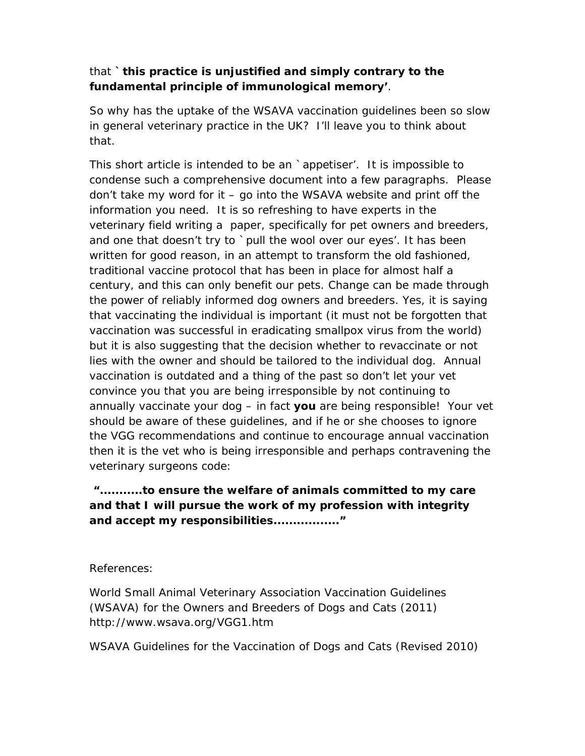## that **`***this practice is unjustified and simply contrary to the fundamental principle of immunological memory'*.

So why has the uptake of the WSAVA vaccination guidelines been so slow in general veterinary practice in the UK? I'll leave you to think about that.

This short article is intended to be an `*appetiser'*. It is impossible to condense such a comprehensive document into a few paragraphs. Please don't take my word for it – go into the WSAVA website and print off the information you need. It is so refreshing to have experts in the veterinary field writing a paper, specifically for pet owners and breeders, and one that doesn't try to `pull the wool over our eyes'. It has been written for good reason, in an attempt to transform the old fashioned, traditional vaccine protocol that has been in place for almost half a century, and this can only benefit our pets. Change can be made through the power of reliably informed dog owners and breeders. Yes, it is saying that vaccinating the individual is important (it must not be forgotten that vaccination was successful in eradicating smallpox virus from the world) but it is also suggesting that the decision whether to revaccinate or not lies with the owner and should be tailored to the individual dog. Annual vaccination is outdated and a thing of the past so don't let your vet convince you that you are being irresponsible by not continuing to annually vaccinate your dog – in fact **you** are being responsible! Your vet should be aware of these guidelines, and if he or she chooses to ignore the VGG recommendations and continue to encourage annual vaccination then it is the vet who is being irresponsible and perhaps contravening the veterinary surgeons code:

*"...........to ensure the welfare of animals committed to my care and that I will pursue the work of my profession with integrity and accept my responsibilities................."* 

### *References:*

*World Small Animal Veterinary Association Vaccination Guidelines (WSAVA) for the Owners and Breeders of Dogs and Cats (2011) http://www.wsava.org/VGG1.htm* 

*WSAVA Guidelines for the Vaccination of Dogs and Cats (Revised 2010)*